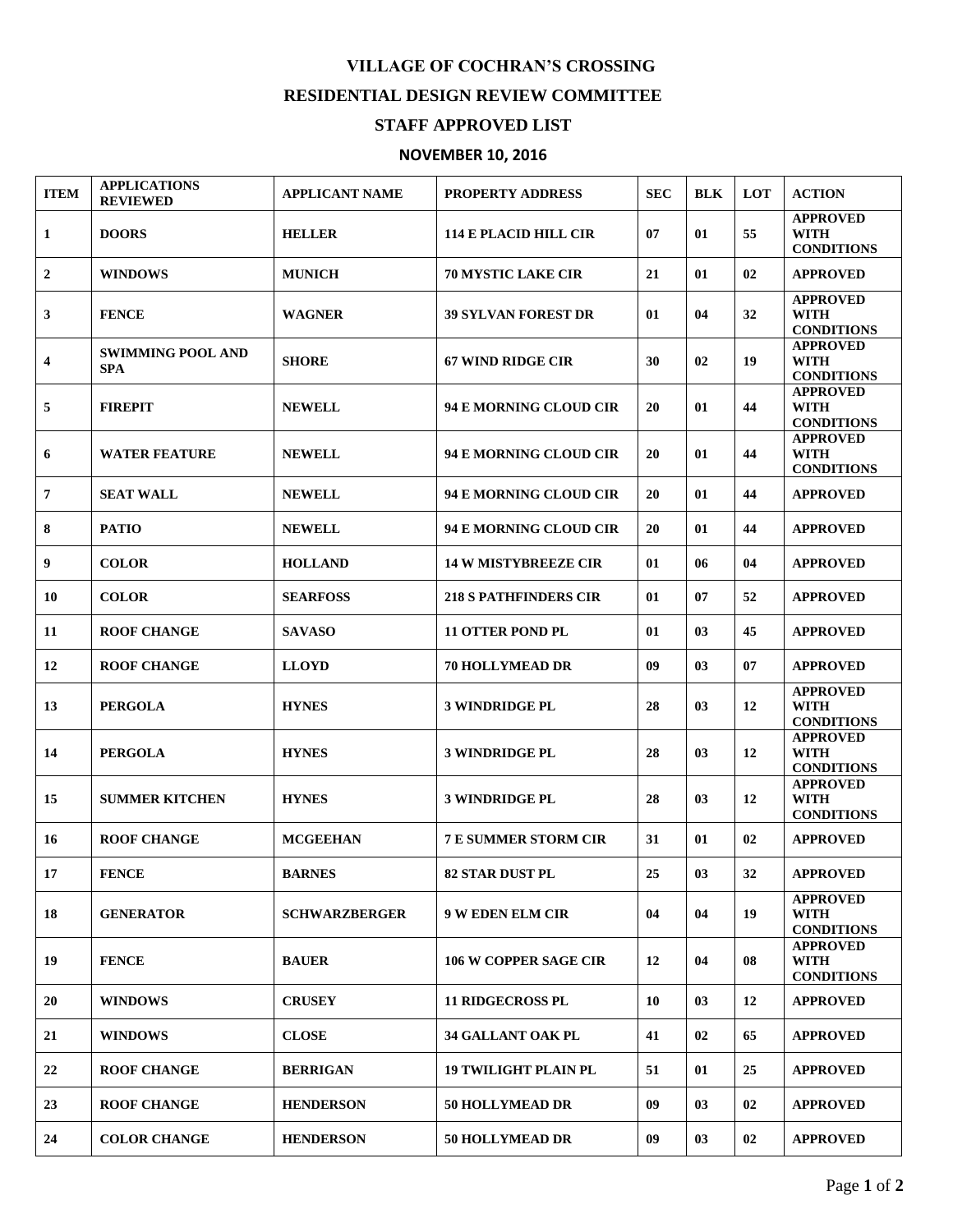## **VILLAGE OF COCHRAN'S CROSSING**

## **RESIDENTIAL DESIGN REVIEW COMMITTEE**

## **STAFF APPROVED LIST**

## **NOVEMBER 10, 2016**

| <b>ITEM</b>             | <b>APPLICATIONS</b><br><b>REVIEWED</b> | <b>APPLICANT NAME</b> | <b>PROPERTY ADDRESS</b>      | <b>SEC</b> | <b>BLK</b> | LOT | <b>ACTION</b>                                       |
|-------------------------|----------------------------------------|-----------------------|------------------------------|------------|------------|-----|-----------------------------------------------------|
| 1                       | <b>DOORS</b>                           | <b>HELLER</b>         | <b>114 E PLACID HILL CIR</b> | 07         | 01         | 55  | <b>APPROVED</b><br><b>WITH</b><br><b>CONDITIONS</b> |
| $\mathbf{2}$            | <b>WINDOWS</b>                         | <b>MUNICH</b>         | <b>70 MYSTIC LAKE CIR</b>    | 21         | 01         | 02  | <b>APPROVED</b>                                     |
| 3                       | <b>FENCE</b>                           | <b>WAGNER</b>         | <b>39 SYLVAN FOREST DR</b>   | 01         | 04         | 32  | <b>APPROVED</b><br><b>WITH</b><br><b>CONDITIONS</b> |
| $\overline{\mathbf{4}}$ | <b>SWIMMING POOL AND</b><br><b>SPA</b> | <b>SHORE</b>          | <b>67 WIND RIDGE CIR</b>     | 30         | 02         | 19  | <b>APPROVED</b><br><b>WITH</b><br><b>CONDITIONS</b> |
| 5                       | <b>FIREPIT</b>                         | <b>NEWELL</b>         | 94 E MORNING CLOUD CIR       | 20         | 01         | 44  | <b>APPROVED</b><br><b>WITH</b><br><b>CONDITIONS</b> |
| 6                       | <b>WATER FEATURE</b>                   | <b>NEWELL</b>         | 94 E MORNING CLOUD CIR       | 20         | 01         | 44  | <b>APPROVED</b><br><b>WITH</b><br><b>CONDITIONS</b> |
| $\overline{7}$          | <b>SEAT WALL</b>                       | <b>NEWELL</b>         | 94 E MORNING CLOUD CIR       | 20         | 01         | 44  | <b>APPROVED</b>                                     |
| 8                       | <b>PATIO</b>                           | <b>NEWELL</b>         | 94 E MORNING CLOUD CIR       | 20         | 01         | 44  | <b>APPROVED</b>                                     |
| 9                       | <b>COLOR</b>                           | <b>HOLLAND</b>        | <b>14 W MISTYBREEZE CIR</b>  | 01         | 06         | 04  | <b>APPROVED</b>                                     |
| 10                      | <b>COLOR</b>                           | <b>SEARFOSS</b>       | <b>218 S PATHFINDERS CIR</b> | 01         | 07         | 52  | <b>APPROVED</b>                                     |
| 11                      | <b>ROOF CHANGE</b>                     | <b>SAVASO</b>         | <b>11 OTTER POND PL</b>      | 01         | 03         | 45  | <b>APPROVED</b>                                     |
| 12                      | <b>ROOF CHANGE</b>                     | <b>LLOYD</b>          | <b>70 HOLLYMEAD DR</b>       | 09         | 03         | 07  | <b>APPROVED</b>                                     |
| 13                      | <b>PERGOLA</b>                         | <b>HYNES</b>          | <b>3 WINDRIDGE PL</b>        | 28         | 03         | 12  | <b>APPROVED</b><br><b>WITH</b><br><b>CONDITIONS</b> |
| 14                      | <b>PERGOLA</b>                         | <b>HYNES</b>          | <b>3 WINDRIDGE PL</b>        | 28         | 03         | 12  | <b>APPROVED</b><br><b>WITH</b><br><b>CONDITIONS</b> |
| 15                      | <b>SUMMER KITCHEN</b>                  | <b>HYNES</b>          | <b>3 WINDRIDGE PL</b>        | 28         | 03         | 12  | <b>APPROVED</b><br><b>WITH</b><br><b>CONDITIONS</b> |
| 16                      | <b>ROOF CHANGE</b>                     | <b>MCGEEHAN</b>       | <b>7 E SUMMER STORM CIR</b>  | 31         | 01         | 02  | <b>APPROVED</b>                                     |
| 17                      | <b>FENCE</b>                           | <b>BARNES</b>         | 82 STAR DUST PL              | 25         | 03         | 32  | <b>APPROVED</b>                                     |
| 18                      | <b>GENERATOR</b>                       | <b>SCHWARZBERGER</b>  | <b>9 W EDEN ELM CIR</b>      | 04         | 04         | 19  | <b>APPROVED</b><br><b>WITH</b><br><b>CONDITIONS</b> |
| 19                      | <b>FENCE</b>                           | <b>BAUER</b>          | <b>106 W COPPER SAGE CIR</b> | 12         | 04         | 08  | <b>APPROVED</b><br><b>WITH</b><br><b>CONDITIONS</b> |
| 20                      | <b>WINDOWS</b>                         | <b>CRUSEY</b>         | <b>11 RIDGECROSS PL</b>      | 10         | 03         | 12  | <b>APPROVED</b>                                     |
| 21                      | <b>WINDOWS</b>                         | <b>CLOSE</b>          | <b>34 GALLANT OAK PL</b>     | 41         | 02         | 65  | <b>APPROVED</b>                                     |
| 22                      | <b>ROOF CHANGE</b>                     | <b>BERRIGAN</b>       | <b>19 TWILIGHT PLAIN PL</b>  | 51         | 01         | 25  | <b>APPROVED</b>                                     |
| 23                      | <b>ROOF CHANGE</b>                     | <b>HENDERSON</b>      | <b>50 HOLLYMEAD DR</b>       | 09         | 03         | 02  | <b>APPROVED</b>                                     |
| 24                      | <b>COLOR CHANGE</b>                    | <b>HENDERSON</b>      | <b>50 HOLLYMEAD DR</b>       | 09         | 03         | 02  | <b>APPROVED</b>                                     |